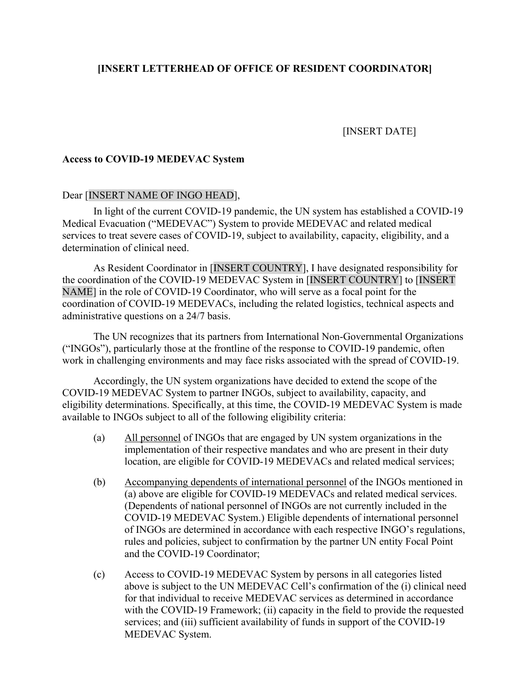## **[INSERT LETTERHEAD OF OFFICE OF RESIDENT COORDINATOR]**

# [INSERT DATE]

### **Access to COVID-19 MEDEVAC System**

#### Dear [INSERT NAME OF INGO HEAD],

In light of the current COVID-19 pandemic, the UN system has established a COVID-19 Medical Evacuation ("MEDEVAC") System to provide MEDEVAC and related medical services to treat severe cases of COVID-19, subject to availability, capacity, eligibility, and a determination of clinical need.

As Resident Coordinator in [INSERT COUNTRY], I have designated responsibility for the coordination of the COVID-19 MEDEVAC System in [INSERT COUNTRY] to [INSERT NAME] in the role of COVID-19 Coordinator, who will serve as a focal point for the coordination of COVID-19 MEDEVACs, including the related logistics, technical aspects and administrative questions on a 24/7 basis.

The UN recognizes that its partners from International Non-Governmental Organizations ("INGOs"), particularly those at the frontline of the response to COVID-19 pandemic, often work in challenging environments and may face risks associated with the spread of COVID-19.

Accordingly, the UN system organizations have decided to extend the scope of the COVID-19 MEDEVAC System to partner INGOs, subject to availability, capacity, and eligibility determinations. Specifically, at this time, the COVID-19 MEDEVAC System is made available to INGOs subject to all of the following eligibility criteria:

- (a) All personnel of INGOs that are engaged by UN system organizations in the implementation of their respective mandates and who are present in their duty location, are eligible for COVID-19 MEDEVACs and related medical services;
- (b) Accompanying dependents of international personnel of the INGOs mentioned in (a) above are eligible for COVID-19 MEDEVACs and related medical services. (Dependents of national personnel of INGOs are not currently included in the COVID-19 MEDEVAC System.) Eligible dependents of international personnel of INGOs are determined in accordance with each respective INGO's regulations, rules and policies, subject to confirmation by the partner UN entity Focal Point and the COVID-19 Coordinator;
- (c) Access to COVID-19 MEDEVAC System by persons in all categories listed above is subject to the UN MEDEVAC Cell's confirmation of the (i) clinical need for that individual to receive MEDEVAC services as determined in accordance with the COVID-19 Framework; (ii) capacity in the field to provide the requested services; and (iii) sufficient availability of funds in support of the COVID-19 MEDEVAC System.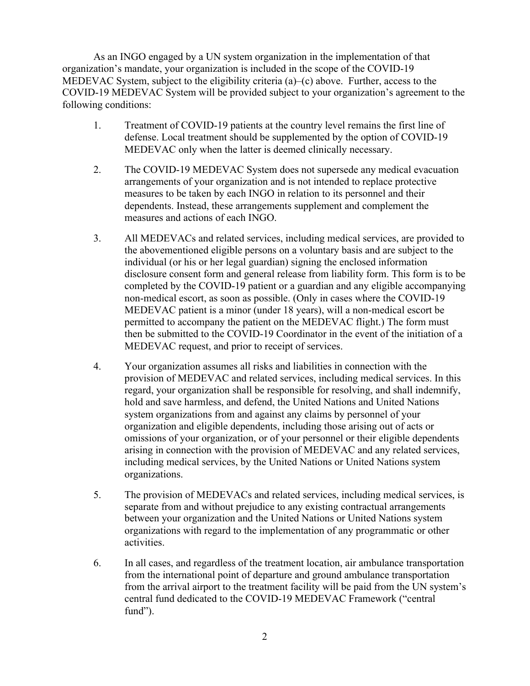As an INGO engaged by a UN system organization in the implementation of that organization's mandate, your organization is included in the scope of the COVID-19 MEDEVAC System, subject to the eligibility criteria (a)–(c) above. Further, access to the COVID-19 MEDEVAC System will be provided subject to your organization's agreement to the following conditions:

- 1. Treatment of COVID-19 patients at the country level remains the first line of defense. Local treatment should be supplemented by the option of COVID-19 MEDEVAC only when the latter is deemed clinically necessary.
- 2. The COVID-19 MEDEVAC System does not supersede any medical evacuation arrangements of your organization and is not intended to replace protective measures to be taken by each INGO in relation to its personnel and their dependents. Instead, these arrangements supplement and complement the measures and actions of each INGO.
- 3. All MEDEVACs and related services, including medical services, are provided to the abovementioned eligible persons on a voluntary basis and are subject to the individual (or his or her legal guardian) signing the enclosed information disclosure consent form and general release from liability form. This form is to be completed by the COVID-19 patient or a guardian and any eligible accompanying non-medical escort, as soon as possible. (Only in cases where the COVID-19 MEDEVAC patient is a minor (under 18 years), will a non-medical escort be permitted to accompany the patient on the MEDEVAC flight.) The form must then be submitted to the COVID-19 Coordinator in the event of the initiation of a MEDEVAC request, and prior to receipt of services.
- 4. Your organization assumes all risks and liabilities in connection with the provision of MEDEVAC and related services, including medical services. In this regard, your organization shall be responsible for resolving, and shall indemnify, hold and save harmless, and defend, the United Nations and United Nations system organizations from and against any claims by personnel of your organization and eligible dependents, including those arising out of acts or omissions of your organization, or of your personnel or their eligible dependents arising in connection with the provision of MEDEVAC and any related services, including medical services, by the United Nations or United Nations system organizations.
- 5. The provision of MEDEVACs and related services, including medical services, is separate from and without prejudice to any existing contractual arrangements between your organization and the United Nations or United Nations system organizations with regard to the implementation of any programmatic or other activities.
- 6. In all cases, and regardless of the treatment location, air ambulance transportation from the international point of departure and ground ambulance transportation from the arrival airport to the treatment facility will be paid from the UN system's central fund dedicated to the COVID-19 MEDEVAC Framework ("central fund").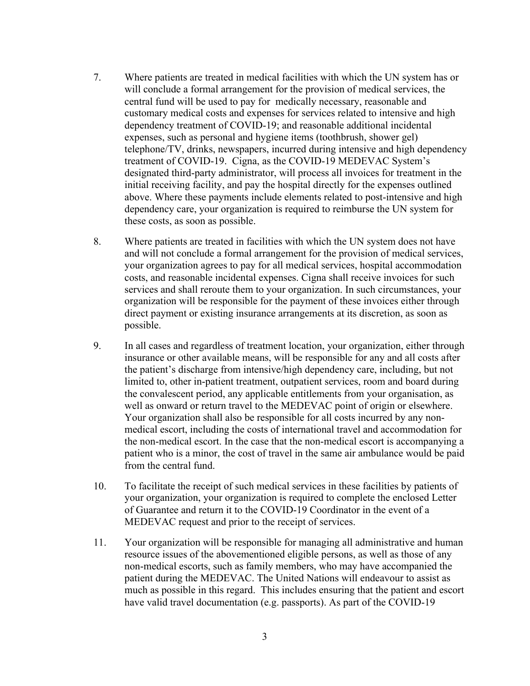- 7. Where patients are treated in medical facilities with which the UN system has or will conclude a formal arrangement for the provision of medical services, the central fund will be used to pay for medically necessary, reasonable and customary medical costs and expenses for services related to intensive and high dependency treatment of COVID-19; and reasonable additional incidental expenses, such as personal and hygiene items (toothbrush, shower gel) telephone/TV, drinks, newspapers, incurred during intensive and high dependency treatment of COVID-19. Cigna, as the COVID-19 MEDEVAC System's designated third-party administrator, will process all invoices for treatment in the initial receiving facility, and pay the hospital directly for the expenses outlined above. Where these payments include elements related to post-intensive and high dependency care, your organization is required to reimburse the UN system for these costs, as soon as possible.
- 8. Where patients are treated in facilities with which the UN system does not have and will not conclude a formal arrangement for the provision of medical services, your organization agrees to pay for all medical services, hospital accommodation costs, and reasonable incidental expenses. Cigna shall receive invoices for such services and shall reroute them to your organization. In such circumstances, your organization will be responsible for the payment of these invoices either through direct payment or existing insurance arrangements at its discretion, as soon as possible.
- 9. In all cases and regardless of treatment location, your organization, either through insurance or other available means, will be responsible for any and all costs after the patient's discharge from intensive/high dependency care, including, but not limited to, other in-patient treatment, outpatient services, room and board during the convalescent period, any applicable entitlements from your organisation, as well as onward or return travel to the MEDEVAC point of origin or elsewhere. Your organization shall also be responsible for all costs incurred by any nonmedical escort, including the costs of international travel and accommodation for the non-medical escort. In the case that the non-medical escort is accompanying a patient who is a minor, the cost of travel in the same air ambulance would be paid from the central fund.
- 10. To facilitate the receipt of such medical services in these facilities by patients of your organization, your organization is required to complete the enclosed Letter of Guarantee and return it to the COVID-19 Coordinator in the event of a MEDEVAC request and prior to the receipt of services.
- 11. Your organization will be responsible for managing all administrative and human resource issues of the abovementioned eligible persons, as well as those of any non-medical escorts, such as family members, who may have accompanied the patient during the MEDEVAC. The United Nations will endeavour to assist as much as possible in this regard. This includes ensuring that the patient and escort have valid travel documentation (e.g. passports). As part of the COVID-19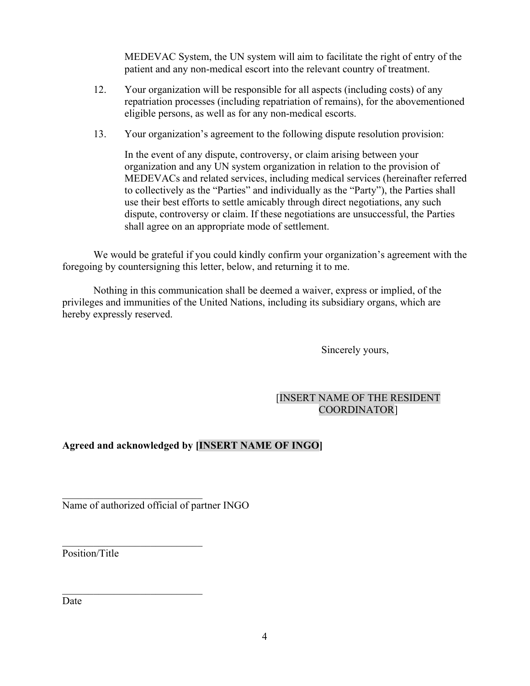MEDEVAC System, the UN system will aim to facilitate the right of entry of the patient and any non-medical escort into the relevant country of treatment.

- 12. Your organization will be responsible for all aspects (including costs) of any repatriation processes (including repatriation of remains), for the abovementioned eligible persons, as well as for any non-medical escorts.
- 13. Your organization's agreement to the following dispute resolution provision:

In the event of any dispute, controversy, or claim arising between your organization and any UN system organization in relation to the provision of MEDEVACs and related services, including medical services (hereinafter referred to collectively as the "Parties" and individually as the "Party"), the Parties shall use their best efforts to settle amicably through direct negotiations, any such dispute, controversy or claim. If these negotiations are unsuccessful, the Parties shall agree on an appropriate mode of settlement.

We would be grateful if you could kindly confirm your organization's agreement with the foregoing by countersigning this letter, below, and returning it to me.

Nothing in this communication shall be deemed a waiver, express or implied, of the privileges and immunities of the United Nations, including its subsidiary organs, which are hereby expressly reserved.

Sincerely yours,

# [INSERT NAME OF THE RESIDENT COORDINATOR]

# **Agreed and acknowledged by [INSERT NAME OF INGO]**

Name of authorized official of partner INGO

 $\mathcal{L}_\text{max}$  , where  $\mathcal{L}_\text{max}$  and  $\mathcal{L}_\text{max}$ 

Position/Title

Date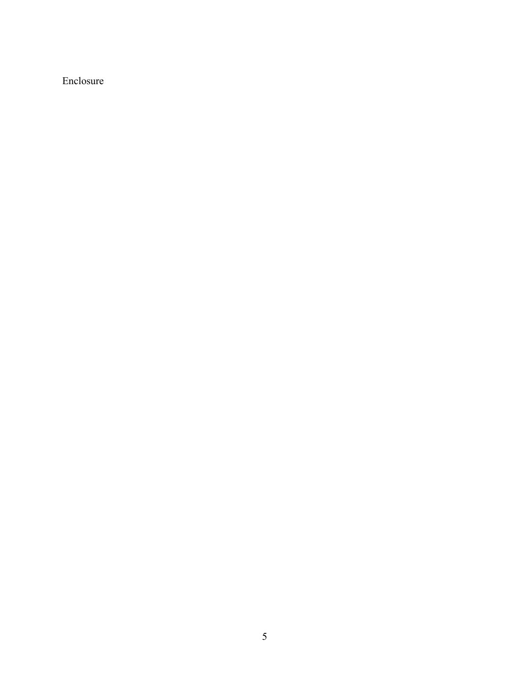Enclosure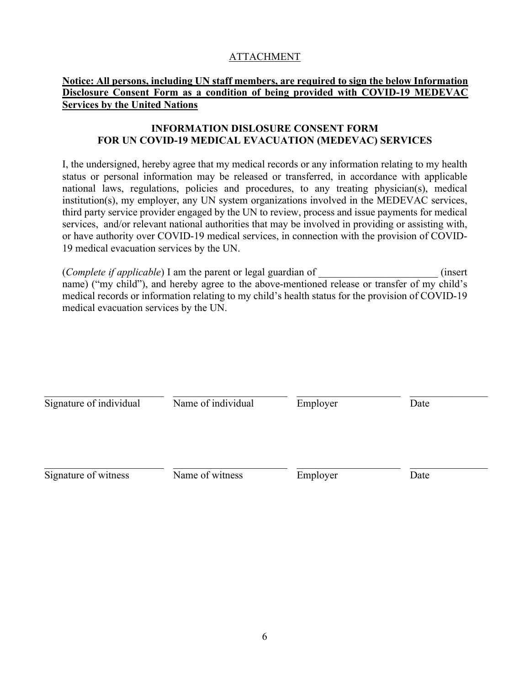# **ATTACHMENT**

## **Notice: All persons, including UN staff members, are required to sign the below Information Disclosure Consent Form as a condition of being provided with COVID-19 MEDEVAC Services by the United Nations**

## **INFORMATION DISLOSURE CONSENT FORM FOR UN COVID-19 MEDICAL EVACUATION (MEDEVAC) SERVICES**

I, the undersigned, hereby agree that my medical records or any information relating to my health status or personal information may be released or transferred, in accordance with applicable national laws, regulations, policies and procedures, to any treating physician(s), medical institution(s), my employer, any UN system organizations involved in the MEDEVAC services, third party service provider engaged by the UN to review, process and issue payments for medical services, and/or relevant national authorities that may be involved in providing or assisting with, or have authority over COVID-19 medical services, in connection with the provision of COVID-19 medical evacuation services by the UN.

(*Complete if applicable*) I am the parent or legal guardian of \_\_\_\_\_\_\_\_\_\_\_\_\_\_\_\_\_\_\_\_\_\_\_ (insert name) ("my child"), and hereby agree to the above-mentioned release or transfer of my child's medical records or information relating to my child's health status for the provision of COVID-19 medical evacuation services by the UN.

| Signature of individual | Name of individual | Employer | Date |  |
|-------------------------|--------------------|----------|------|--|
|                         |                    |          |      |  |
| Signature of witness    | Name of witness    | Employer | Date |  |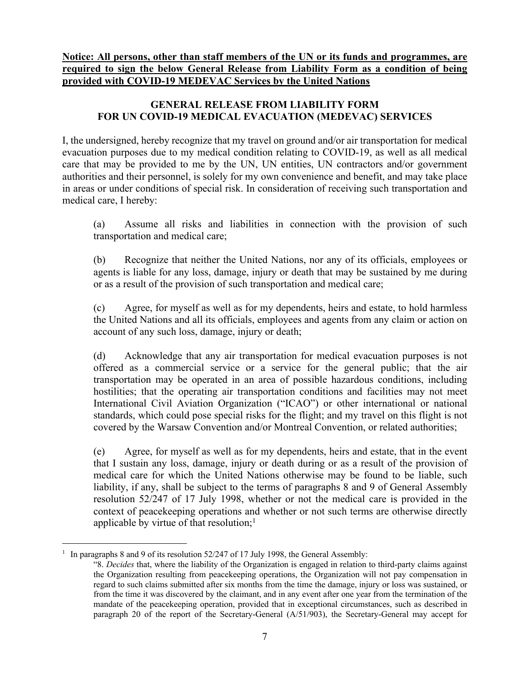**Notice: All persons, other than staff members of the UN or its funds and programmes, are required to sign the below General Release from Liability Form as a condition of being provided with COVID-19 MEDEVAC Services by the United Nations**

# **GENERAL RELEASE FROM LIABILITY FORM FOR UN COVID-19 MEDICAL EVACUATION (MEDEVAC) SERVICES**

I, the undersigned, hereby recognize that my travel on ground and/or air transportation for medical evacuation purposes due to my medical condition relating to COVID-19, as well as all medical care that may be provided to me by the UN, UN entities, UN contractors and/or government authorities and their personnel, is solely for my own convenience and benefit, and may take place in areas or under conditions of special risk. In consideration of receiving such transportation and medical care, I hereby:

(a) Assume all risks and liabilities in connection with the provision of such transportation and medical care;

(b) Recognize that neither the United Nations, nor any of its officials, employees or agents is liable for any loss, damage, injury or death that may be sustained by me during or as a result of the provision of such transportation and medical care;

(c) Agree, for myself as well as for my dependents, heirs and estate, to hold harmless the United Nations and all its officials, employees and agents from any claim or action on account of any such loss, damage, injury or death;

(d) Acknowledge that any air transportation for medical evacuation purposes is not offered as a commercial service or a service for the general public; that the air transportation may be operated in an area of possible hazardous conditions, including hostilities; that the operating air transportation conditions and facilities may not meet International Civil Aviation Organization ("ICAO") or other international or national standards, which could pose special risks for the flight; and my travel on this flight is not covered by the Warsaw Convention and/or Montreal Convention, or related authorities;

(e) Agree, for myself as well as for my dependents, heirs and estate, that in the event that I sustain any loss, damage, injury or death during or as a result of the provision of medical care for which the United Nations otherwise may be found to be liable, such liability, if any, shall be subject to the terms of paragraphs 8 and 9 of General Assembly resolution 52/247 of 17 July 1998, whether or not the medical care is provided in the context of peacekeeping operations and whether or not such terms are otherwise directly applicable by virtue of that resolution;<sup>1</sup>

<sup>&</sup>lt;sup>1</sup> In paragraphs 8 and 9 of its resolution 52/247 of 17 July 1998, the General Assembly:

<sup>&</sup>quot;8. *Decides* that, where the liability of the Organization is engaged in relation to third-party claims against the Organization resulting from peacekeeping operations, the Organization will not pay compensation in regard to such claims submitted after six months from the time the damage, injury or loss was sustained, or from the time it was discovered by the claimant, and in any event after one year from the termination of the mandate of the peacekeeping operation, provided that in exceptional circumstances, such as described in paragraph 20 of the report of the Secretary-General (A/51/903), the Secretary-General may accept for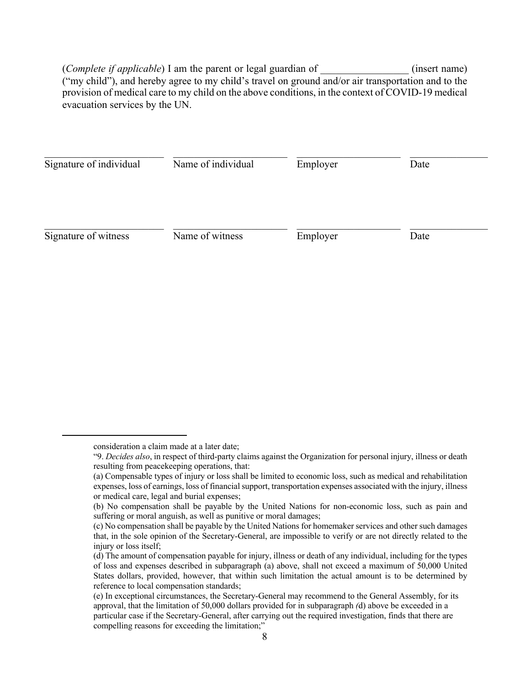(*Complete if applicable*) I am the parent or legal guardian of  $($ insert name) ("my child"), and hereby agree to my child's travel on ground and/or air transportation and to the provision of medical care to my child on the above conditions, in the context of COVID-19 medical evacuation services by the UN.

| Name of individual | Employer        | Date     |      |
|--------------------|-----------------|----------|------|
|                    |                 |          |      |
|                    | Name of witness | Employer | Date |

consideration a claim made at a later date;

<sup>&</sup>quot;9. *Decides also*, in respect of third-party claims against the Organization for personal injury, illness or death resulting from peacekeeping operations, that:

<sup>(</sup>a) Compensable types of injury or loss shall be limited to economic loss, such as medical and rehabilitation expenses, loss of earnings, loss of financial support, transportation expenses associated with the injury, illness or medical care, legal and burial expenses;

<sup>(</sup>b) No compensation shall be payable by the United Nations for non-economic loss, such as pain and suffering or moral anguish, as well as punitive or moral damages;

<sup>(</sup>c) No compensation shall be payable by the United Nations for homemaker services and other such damages that, in the sole opinion of the Secretary-General, are impossible to verify or are not directly related to the injury or loss itself:

<sup>(</sup>d) The amount of compensation payable for injury, illness or death of any individual, including for the types of loss and expenses described in subparagraph (a) above, shall not exceed a maximum of 50,000 United States dollars, provided, however, that within such limitation the actual amount is to be determined by reference to local compensation standards;

<sup>(</sup>e) In exceptional circumstances, the Secretary-General may recommend to the General Assembly, for its approval, that the limitation of 50,000 dollars provided for in subparagraph *(*d) above be exceeded in a particular case if the Secretary-General, after carrying out the required investigation, finds that there are compelling reasons for exceeding the limitation;"